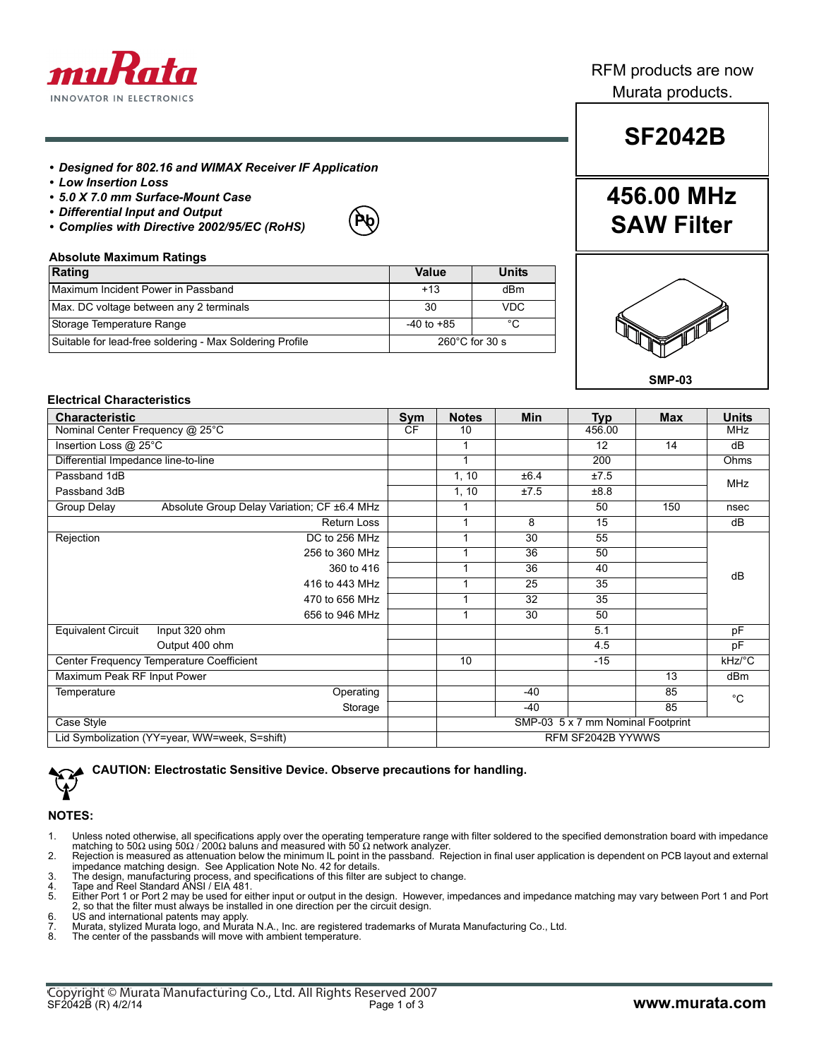

### RFM products are now Murata products.

## **SF2042B**

**456.00 MHz**

**SAW Filter**

### *• Designed for 802.16 and WIMAX Receiver IF Application*

- *Low Insertion Loss*
- *5.0 X 7.0 mm Surface-Mount Case*
- *Differential Input and Output*
- *Complies with Directive 2002/95/EC (RoHS)*



#### **Absolute Maximum Ratings**

| Rating                                                   | Value                    | <b>Units</b> |
|----------------------------------------------------------|--------------------------|--------------|
| Maximum Incident Power in Passband                       | $+13$                    | dBm          |
| Max. DC voltage between any 2 terminals                  | 30                       | <b>VDC</b>   |
| Storage Temperature Range                                | $-40$ to $+85$           | °C           |
| Suitable for lead-free soldering - Max Soldering Profile | $260^{\circ}$ C for 30 s |              |



### **Electrical Characteristics**

| <b>Characteristic</b>                         |                                             | <b>Sym</b>        | <b>Notes</b>                      | <b>Min</b> | <b>Typ</b> | <b>Max</b> | <b>Units</b> |
|-----------------------------------------------|---------------------------------------------|-------------------|-----------------------------------|------------|------------|------------|--------------|
| Nominal Center Frequency @ 25°C               |                                             | ČF                | 10                                |            | 456.00     |            | <b>MHz</b>   |
| Insertion Loss @ 25°C                         |                                             |                   | 1                                 |            | 12         | 14         | dB           |
| Differential Impedance line-to-line           |                                             |                   | 1                                 |            | 200        |            | Ohms         |
| Passband 1dB                                  |                                             |                   | 1, 10                             | ±6.4       | ±7.5       |            | <b>MHz</b>   |
| Passband 3dB                                  |                                             |                   | 1, 10                             | ±7.5       | ±8.8       |            |              |
| Group Delay                                   | Absolute Group Delay Variation; CF ±6.4 MHz |                   | 1                                 |            | 50         | 150        | nsec         |
|                                               | Return Loss                                 |                   | 1                                 | 8          | 15         |            | dB           |
| Rejection                                     | DC to 256 MHz                               |                   | 1                                 | 30         | 55         |            |              |
|                                               | 256 to 360 MHz                              |                   | 1                                 | 36         | 50         |            |              |
|                                               | 360 to 416                                  |                   | 1                                 | 36         | 40         |            | dB           |
|                                               | 416 to 443 MHz                              |                   | 1                                 | 25         | 35         |            |              |
|                                               | 470 to 656 MHz                              |                   | 1                                 | 32         | 35         |            |              |
|                                               | 656 to 946 MHz                              |                   | 1                                 | 30         | 50         |            |              |
| <b>Equivalent Circuit</b>                     | Input 320 ohm                               |                   |                                   |            | 5.1        |            | pF           |
|                                               | Output 400 ohm                              |                   |                                   |            | 4.5        |            | pF           |
| Center Frequency Temperature Coefficient      |                                             |                   | 10                                |            | $-15$      |            | kHz/°C       |
| Maximum Peak RF Input Power                   |                                             |                   |                                   |            |            | 13         | dBm          |
| Temperature                                   | Operating                                   |                   |                                   | -40        |            | 85         | $^{\circ}C$  |
|                                               | Storage                                     |                   |                                   | $-40$      |            | 85         |              |
| Case Style                                    |                                             |                   | SMP-03 5 x 7 mm Nominal Footprint |            |            |            |              |
| Lid Symbolization (YY=year, WW=week, S=shift) |                                             | RFM SF2042B YYWWS |                                   |            |            |            |              |

**CAUTION: Electrostatic Sensitive Device. Observe precautions for handling.**

### **NOTES:**

- 1. Unless noted otherwise, all specifications apply over the operating temperature range with filter soldered to the specified demonstration board with impedance<br>matching to 50Ω using 50Ω / 200Ω baluns and measured with 5
- 2. Rejection is measured as attenuation below the minimum IL point in the passband. Rejection in final user application is dependent on PCB layout and external impedance matching design. See Application Note No. 42 for details. 3. The design, manufacturing process, and specifications of this filter are subject to change. 4. Tape and Reel Standard ANSI / EIA 481.
- 
- 
- 5. Either Port 1 or Port 2 may be used for either input or output in the design. However, impedances and impedance matching may vary between Port 1 and Port 2, so that the filter must always be installed in one direction per the circuit design.
- 6. US and international patents may apply.<br>
7. Murata, stylized Murata logo, and Murat<br>
8. The center of the passbands will move v Murata, stylized Murata logo, and Murata N.A., Inc. are registered trademarks of Murata Manufacturing Co., Ltd.
- The center of the passbands will move with ambient temperature.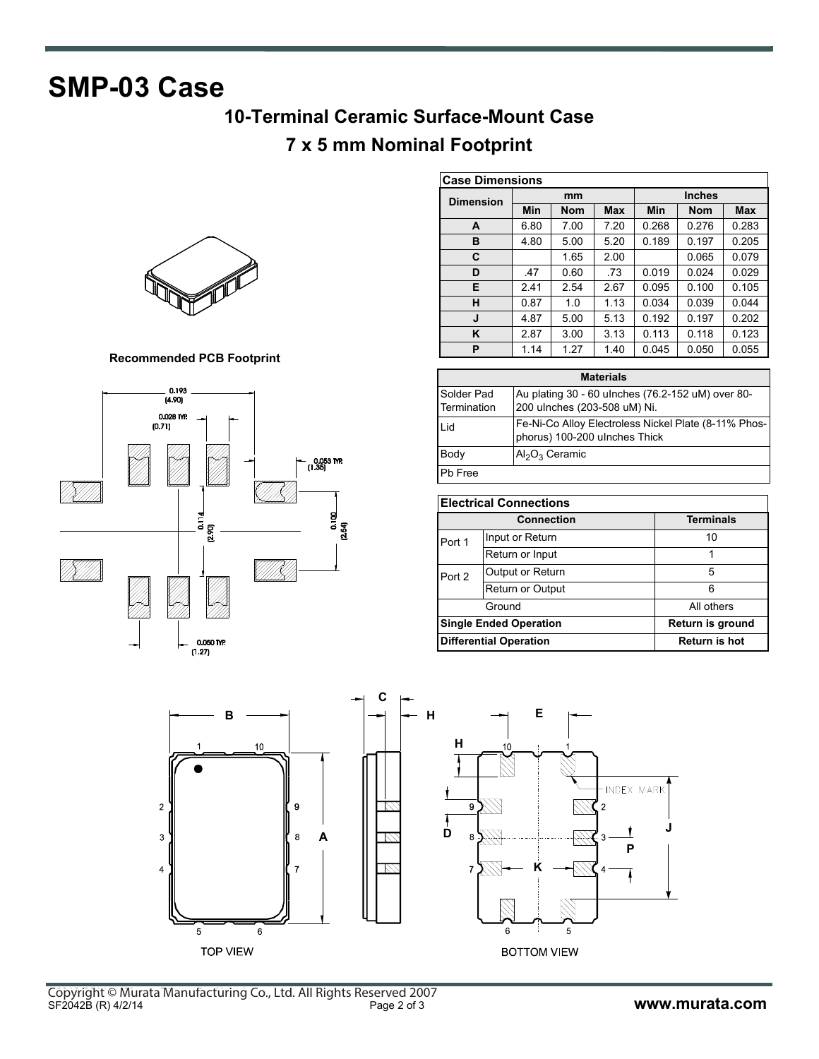# **SMP-03 Case**

## **10-Terminal Ceramic Surface-Mount Case**

### **7 x 5 mm Nominal Footprint**



**Recommended PCB Footprint**



| <b>Case Dimensions</b> |      |            |            |               |            |            |
|------------------------|------|------------|------------|---------------|------------|------------|
| <b>Dimension</b>       | mm   |            |            | <b>Inches</b> |            |            |
|                        | Min  | <b>Nom</b> | <b>Max</b> | Min           | <b>Nom</b> | <b>Max</b> |
| A                      | 6.80 | 7.00       | 7.20       | 0.268         | 0.276      | 0.283      |
| в                      | 4.80 | 5.00       | 5.20       | 0.189         | 0.197      | 0.205      |
| C                      |      | 1.65       | 2.00       |               | 0.065      | 0.079      |
| D                      | .47  | 0.60       | .73        | 0.019         | 0.024      | 0.029      |
| Е                      | 2.41 | 2.54       | 2.67       | 0.095         | 0.100      | 0.105      |
| н                      | 0.87 | 1.0        | 1.13       | 0.034         | 0.039      | 0.044      |
| J                      | 4.87 | 5.00       | 5.13       | 0.192         | 0.197      | 0.202      |
| K                      | 2.87 | 3.00       | 3.13       | 0.113         | 0.118      | 0.123      |
| P                      | 1.14 | 1.27       | 1.40       | 0.045         | 0.050      | 0.055      |

| <b>Materials</b>          |                                                                                       |  |  |  |
|---------------------------|---------------------------------------------------------------------------------------|--|--|--|
| Solder Pad<br>Termination | Au plating 30 - 60 ulnches (76.2-152 uM) over 80-<br>200 ulnches (203-508 uM) Ni.     |  |  |  |
| hi I                      | Fe-Ni-Co Alloy Electroless Nickel Plate (8-11% Phos-<br>phorus) 100-200 ulnches Thick |  |  |  |
| Body                      | $Al_2O_3$ Ceramic                                                                     |  |  |  |
| Pb Free                   |                                                                                       |  |  |  |

| <b>Electrical Connections</b> |                               |                  |  |  |
|-------------------------------|-------------------------------|------------------|--|--|
|                               | <b>Connection</b>             | <b>Terminals</b> |  |  |
| Port 1                        | Input or Return               | 10               |  |  |
|                               | Return or Input               |                  |  |  |
| Port 2                        | Output or Return              | 5                |  |  |
|                               | Return or Output              | 6                |  |  |
|                               | Ground                        | All others       |  |  |
|                               | <b>Single Ended Operation</b> | Return is ground |  |  |
|                               | <b>Differential Operation</b> | Return is hot    |  |  |

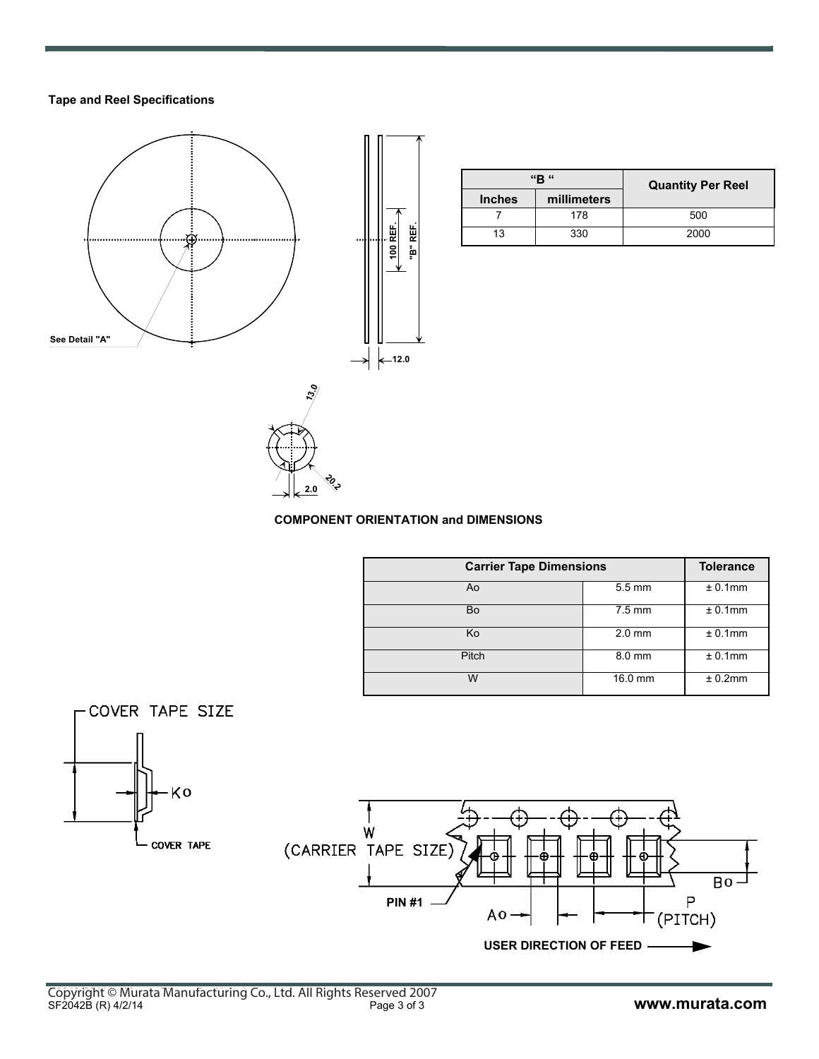### **Tape and Reel Specifications**



|               | "R "        | <b>Quantity Per Reel</b> |
|---------------|-------------|--------------------------|
| <b>Inches</b> | millimeters |                          |
|               | 178         | 500                      |
| 13            | 330         | 2000                     |



**20.2 2.0**

|              | <b>Carrier Tape Dimensions</b> |            |  |
|--------------|--------------------------------|------------|--|
| Ao           | $5.5 \text{ mm}$               | ± 0.1mm    |  |
| Bo           | $7.5 \text{ mm}$               | $± 0.1$ mm |  |
| Ko           | $2.0$ mm                       | $± 0.1$ mm |  |
| <b>Pitch</b> | 8.0 mm                         | $± 0.1$ mm |  |
| w            | 16.0 mm                        | ± 0.2mm    |  |